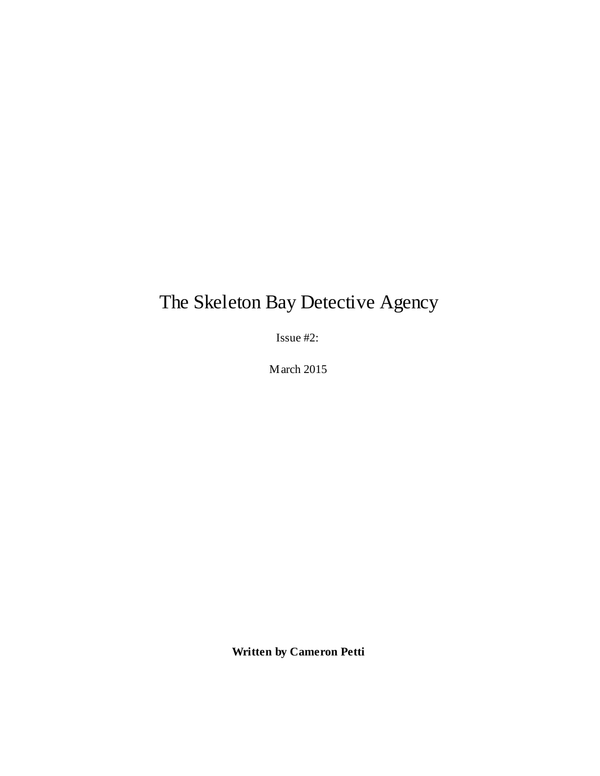# The Skeleton Bay Detective Agency

Issue #2:

March 2015

**Written by Cameron Petti**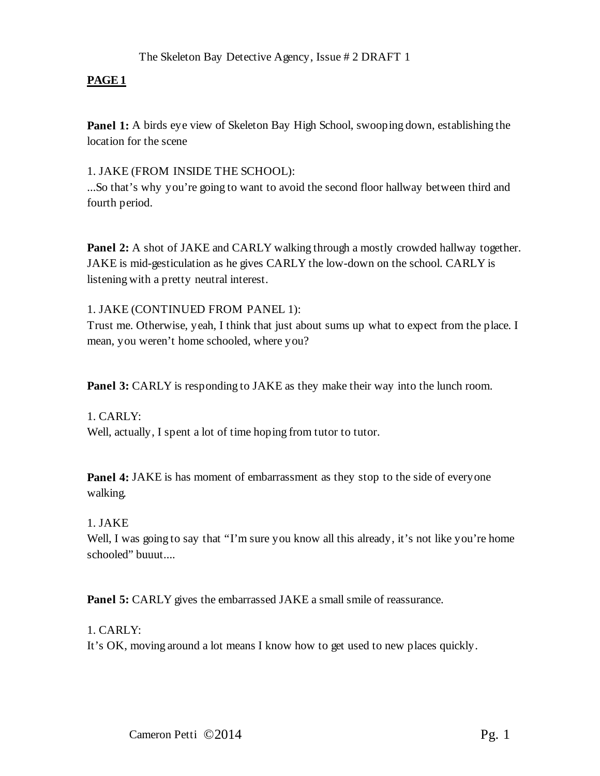**Panel 1:** A birds eye view of Skeleton Bay High School, swooping down, establishing the location for the scene

#### 1. JAKE (FROM INSIDE THE SCHOOL):

...So that's why you're going to want to avoid the second floor hallway between third and fourth period.

**Panel 2:** A shot of JAKE and CARLY walking through a mostly crowded hallway together. JAKE is mid-gesticulation as he gives CARLY the low-down on the school. CARLY is listening with a pretty neutral interest.

1. JAKE (CONTINUED FROM PANEL 1):

Trust me. Otherwise, yeah, I think that just about sums up what to expect from the place. I mean, you weren't home schooled, where you?

**Panel 3:** CARLY is responding to JAKE as they make their way into the lunch room.

1. CARLY: Well, actually, I spent a lot of time hoping from tutor to tutor.

**Panel 4:** JAKE is has moment of embarrassment as they stop to the side of everyone walking.

## 1. JAKE

Well, I was going to say that "I'm sure you know all this already, it's not like you're home schooled" buuut....

**Panel 5:** CARLY gives the embarrassed JAKE a small smile of reassurance.

## 1. CARLY:

It's OK, moving around a lot means I know how to get used to new places quickly.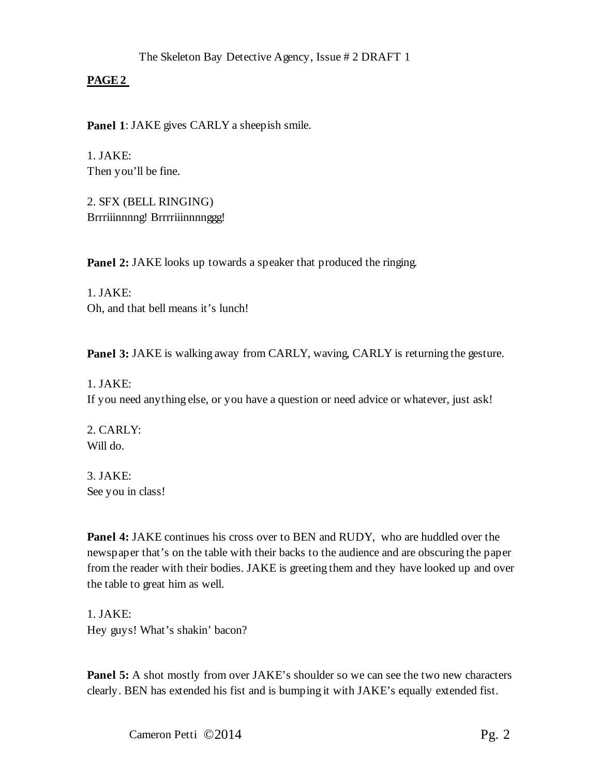**Panel 1**: JAKE gives CARLY a sheepish smile.

1. JAKE: Then you'll be fine.

2. SFX (BELL RINGING) Brrriiinnnng! Brrrriiinnnnggg!

**Panel 2:** JAKE looks up towards a speaker that produced the ringing.

1. JAKE: Oh, and that bell means it's lunch!

**Panel 3:** JAKE is walking away from CARLY, waving, CARLY is returning the gesture.

1. JAKE: If you need anything else, or you have a question or need advice or whatever, just ask!

2. CARLY: Will do.

3. JAKE: See you in class!

**Panel 4:** JAKE continues his cross over to BEN and RUDY, who are huddled over the newspaper that's on the table with their backs to the audience and are obscuring the paper from the reader with their bodies. JAKE is greeting them and they have looked up and over the table to great him as well.

1. JAKE: Hey guys! What's shakin' bacon?

**Panel 5:** A shot mostly from over JAKE's shoulder so we can see the two new characters clearly. BEN has extended his fist and is bumping it with JAKE's equally extended fist.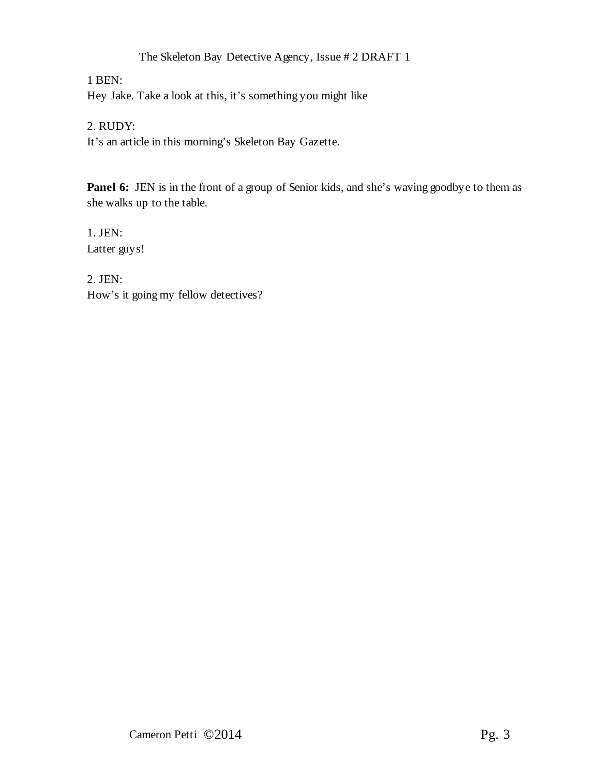1 BEN:

Hey Jake. Take a look at this, it's something you might like

## 2. RUDY:

It's an article in this morning's Skeleton Bay Gazette.

Panel 6: JEN is in the front of a group of Senior kids, and she's waving goodbye to them as she walks up to the table.

1. JEN: Latter guys!

2. JEN: How's it going my fellow detectives?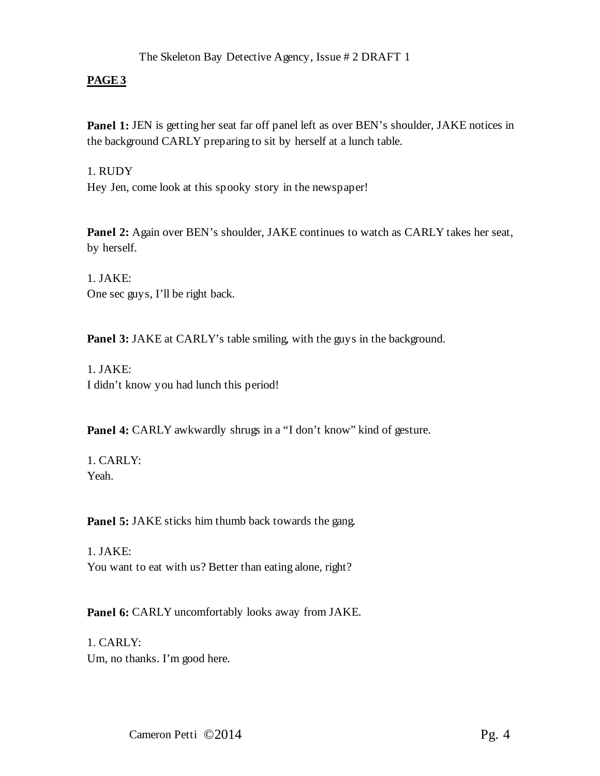## **PAGE3**

**Panel 1:** JEN is getting her seat far off panel left as over BEN's shoulder, JAKE notices in the background CARLY preparing to sit by herself at a lunch table.

1. RUDY

Hey Jen, come look at this spooky story in the newspaper!

Panel 2: Again over BEN's shoulder, JAKE continues to watch as CARLY takes her seat, by herself.

1. JAKE: One sec guys, I'll be right back.

**Panel 3:** JAKE at CARLY's table smiling, with the guys in the background.

1. JAKE: I didn't know you had lunch this period!

Panel 4: CARLY awkwardly shrugs in a "I don't know" kind of gesture.

1. CARLY: Yeah.

**Panel 5:** JAKE sticks him thumb back towards the gang.

1. JAKE: You want to eat with us? Better than eating alone, right?

**Panel 6:** CARLY uncomfortably looks away from JAKE.

1. CARLY: Um, no thanks. I'm good here.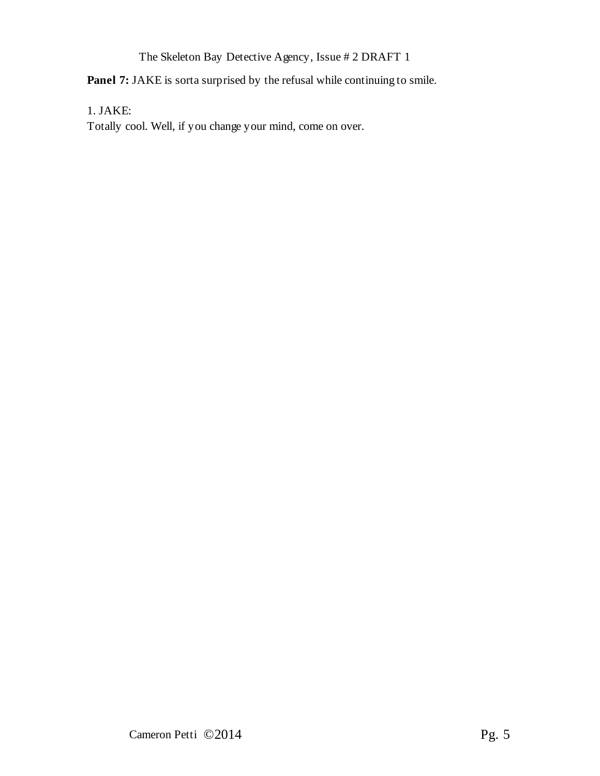**Panel 7:** JAKE is sorta surprised by the refusal while continuing to smile.

1. JAKE:

Totally cool. Well, if you change your mind, come on over.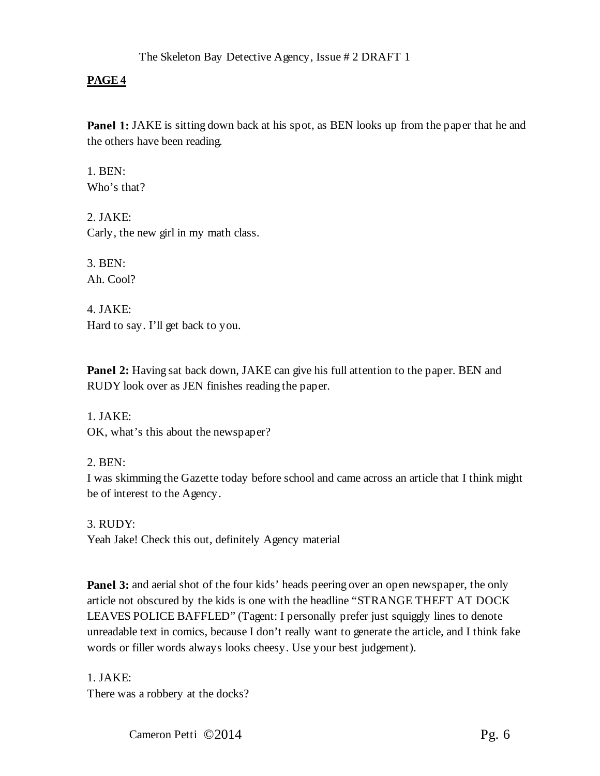**Panel 1:** JAKE is sitting down back at his spot, as BEN looks up from the paper that he and the others have been reading.

1.  $BEN:$ Who's that?

2. JAKE: Carly, the new girl in my math class.

3. BEN: Ah. Cool?

4. JAKE: Hard to say. I'll get back to you.

**Panel 2:** Having sat back down, JAKE can give his full attention to the paper. BEN and RUDY look over as JEN finishes reading the paper.

1. JAKE: OK, what's this about the newspaper?

## 2. BEN:

I was skimming the Gazette today before school and came across an article that I think might be of interest to the Agency.

3. RUDY: Yeah Jake! Check this out, definitely Agency material

**Panel 3:** and aerial shot of the four kids' heads peering over an open newspaper, the only article not obscured by the kids is one with the headline "STRANGE THEFT AT DOCK LEAVES POLICE BAFFLED" (Tagent: I personally prefer just squiggly lines to denote unreadable text in comics, because I don't really want to generate the article, and I think fake words or filler words always looks cheesy. Use your best judgement).

1. JAKE:

There was a robbery at the docks?

Cameron Petti ©2014 Pg. 6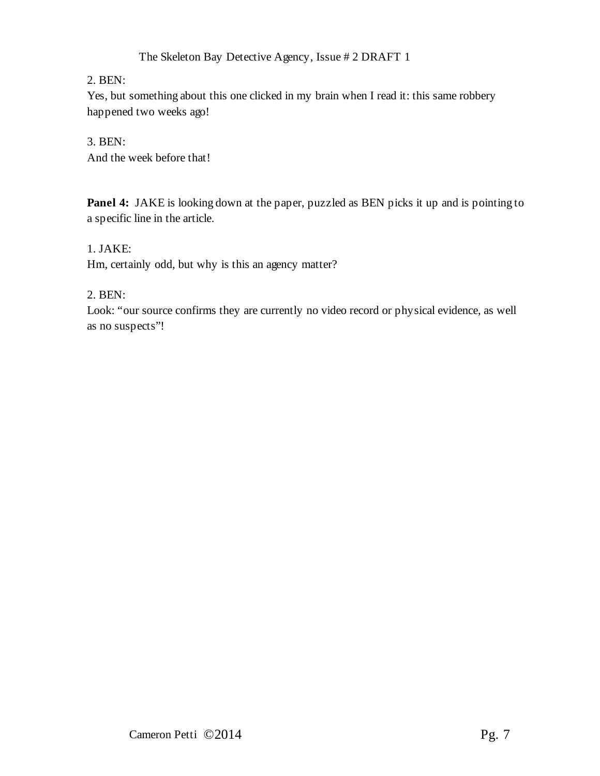## 2. BEN:

Yes, but something about this one clicked in my brain when I read it: this same robbery happened two weeks ago!

## 3. BEN:

And the week before that!

**Panel 4:** JAKE is looking down at the paper, puzzled as BEN picks it up and is pointing to a specific line in the article.

## 1. JAKE:

Hm, certainly odd, but why is this an agency matter?

## 2. BEN:

Look: "our source confirms they are currently no video record or physical evidence, as well as no suspects"!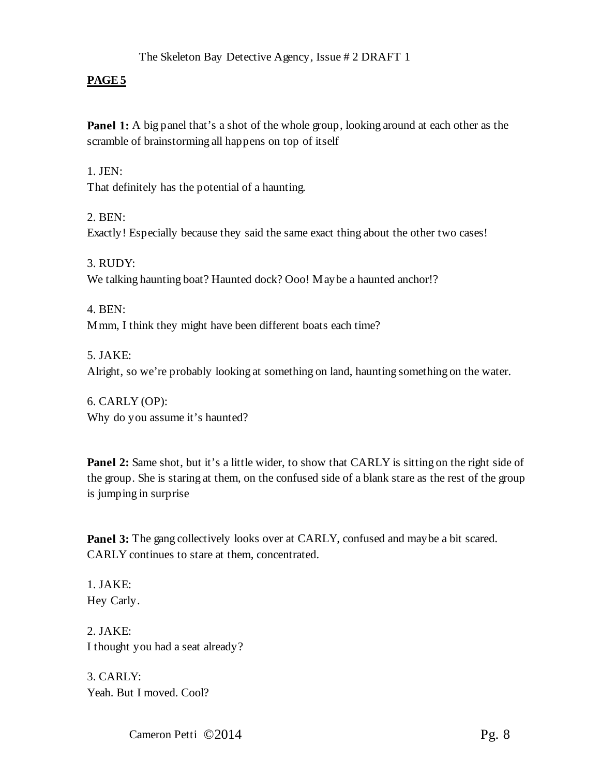**Panel 1:** A big panel that's a shot of the whole group, looking around at each other as the scramble of brainstorming all happens on top of itself

## $1.$  JEN:

That definitely has the potential of a haunting.

2. BEN: Exactly! Especially because they said the same exact thing about the other two cases!

3. RUDY: We talking haunting boat? Haunted dock? Ooo! May be a haunted anchor!?

4. BEN: Mmm, I think they might have been different boats each time?

5. JAKE: Alright, so we're probably looking at something on land, haunting something on the water.

6. CARLY (OP): Why do you assume it's haunted?

**Panel 2:** Same shot, but it's a little wider, to show that CARLY is sitting on the right side of the group. She is staring at them, on the confused side of a blank stare as the rest of the group is jumping in surprise

**Panel 3:** The gang collectively looks over at CARLY, confused and maybe a bit scared. CARLY continues to stare at them, concentrated.

1. JAKE: Hey Carly.

2. JAKE: I thought you had a seat already?

3. CARLY: Yeah. But I moved. Cool?

Cameron Petti © 2014 Pg. 8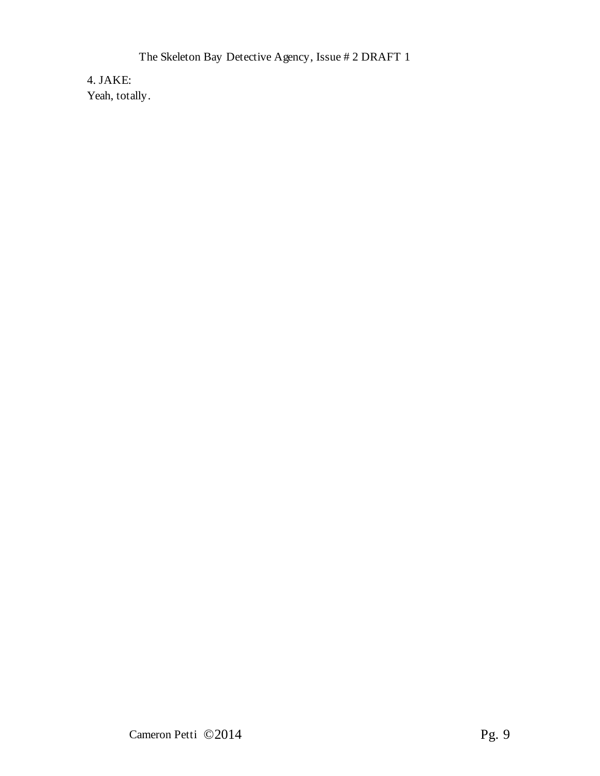4. JAKE: Yeah, totally.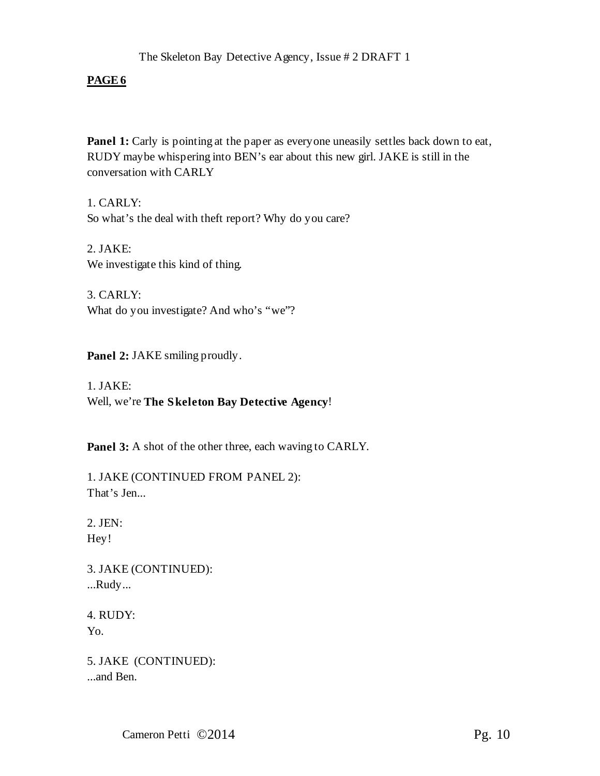**Panel 1:** Carly is pointing at the paper as everyone uneasily settles back down to eat, RUDY maybe whispering into BEN's ear about this new girl. JAKE is still in the conversation with CARLY

1. CARLY: So what's the deal with theft report? Why do you care?

2. JAKE: We investigate this kind of thing.

3. CARLY: What do you investigate? And who's "we"?

Panel 2: JAKE smiling proudly.

1. JAKE: Well, we're **The Skeleton Bay Detective Agency**!

**Panel 3:** A shot of the other three, each waving to CARLY.

1. JAKE (CONTINUED FROM PANEL 2): That's Jen...

2. JEN: Hey!

3. JAKE (CONTINUED): ...Rudy...

4. RUDY: Yo.

5. JAKE (CONTINUED): ...and Ben.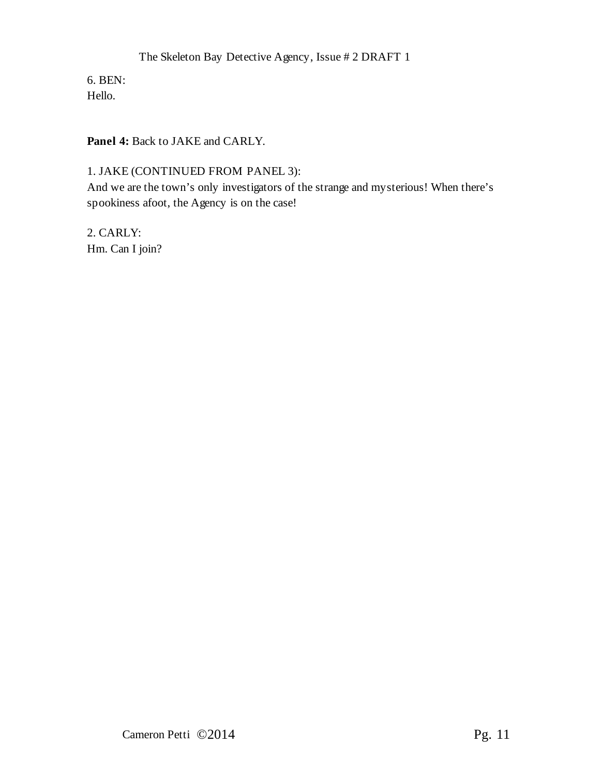6. BEN: Hello.

**Panel 4:** Back to JAKE and CARLY.

# 1. JAKE (CONTINUED FROM PANEL 3):

And we are the town's only investigators of the strange and mysterious! When there's spookiness afoot, the Agency is on the case!

2. CARLY: Hm. Can I join?